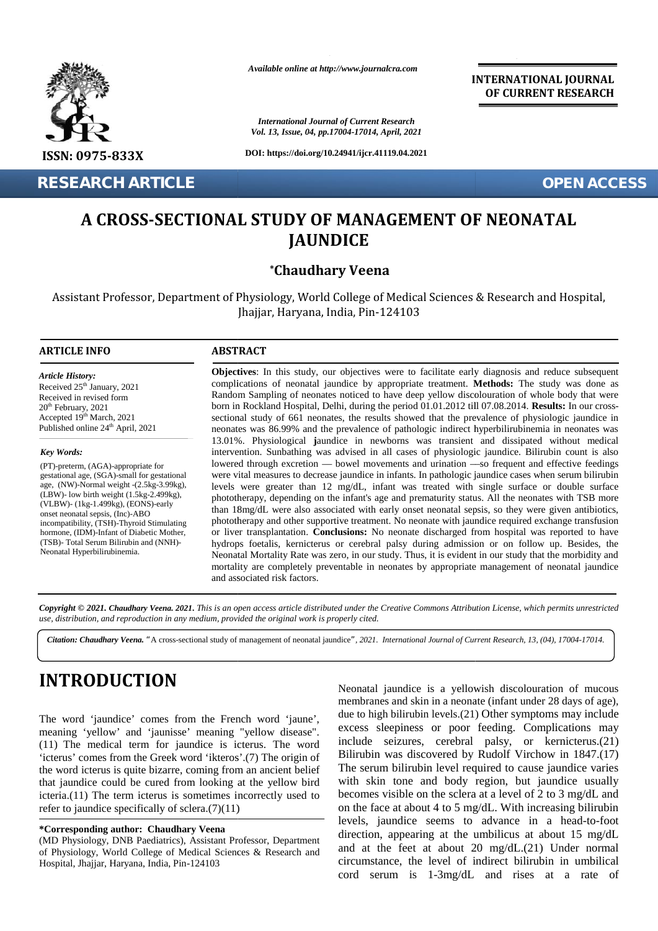

**RESEARCH ARTICLE OPEN ACCESS**

*Available online at http://www.journalcra.com*

*International Journal of Current Research Vol. 13, Issue, 04, pp.17004-17014, April, 2021*

**DOI: https://doi.org/10.24941/ijcr.41119.04.2021**

**INTERNATIONAL JOURNAL OF CURRENT RESEARCH**

# **A CROSS-SECTIONAL STUDY OF MANAGEMENT OF NEONATAL JAUNDICE**

# **\*Chaudhary Veena**

Assistant Professor, Department of Physiology, World College of Medical Sciences & Research and Hospital, Department of Physiology, World College of Medical Science<br>Jhajjar, Haryana, India, Pin-124103

#### **ARTICLE INFO**

*Article History: Article History:* Received  $25<sup>th</sup>$  January, 2021 Received 25 January, 2021<br>Received in revised form  $20<sup>th</sup>$  February,  $2021$  $\text{Accepted } 19^{\text{th}} \text{March}, 2021$  set Published online  $24<sup>th</sup>$  April, 2021

#### *Key Words:*

(PT)-preterm, (AGA)-appropriate for gestational age, (SGA)-small for gestational age, (NW)-Normal weight -(2.5kg-3.99kg), age, (NW)-Normal weight -(2.5kg-3.99kg),<br>(LBW)- low birth weight (1.5kg-2.499kg), (VLBW)- (1kg-1.499kg), (EONS)-early onset neonatal sepsis, (Inc)-ABO incompatibility, (TSH)-Thyroid Stimulating hormone, (IDM)-Infant of Diabetic Mother, (TSB)- Total Serum Bilirubin and (NNH)- Neonatal Hyperbilirubinemia.

**Objectives**: In this study, our objectives were to facilitate early diagnosis and reduce subsequent complications of neonatal jaundice by appropriate treatment. **Methods:** The study was done as Random Sampling of neonates noticed to have deep yellow discolouration of whole body that were born in Rockland Hospital, Delhi, during the period 01.01.2012 till 07.08.2014. **Results:** In our cross sectional study of 661 neonates, the results showed that the prevalence of physiologic jaundice in neonates was 86.99% and the prevalence of pathologic indirect hyperbilirubinemia in neonates was 13.01%. Physiological **j**aundice in newborns was transient and dissipated without medical intervention. Sunbathing was advised in all cases of physiologic jaundice. Bilirubin count is also lowered through excretion — bowel movements and urination —so frequent and effective feedings were vital measures to decrease jaundice in infants. In pathologic jaundice cases when serum bilirubin levels were greater than 12 mg/dL, infant was treated with single surface or double surface phototherapy, depending on the infant's age and prematurity status. All the neonates with TSB more than 18mg/dL were also associated with early onset neonatal sepsis, so they were given antibiotics, phototherapy and other supportive treatment. No neonate with jaundice required exchange transfusion or liver transplantation. **Conclusions:** No neonate discharged from hospital was reported to have hydrops foetalis, kernicterus or cerebral palsy during admission or on follow up. Besides, the Neonatal Mortality Rate was zero, in our study. Thus, it is evident in our study that the morbidity and mortality are completely preventable in neonates by appropriate management of neonatal jaundice<br>and associated risk factors. and associated risk factors. **Objectives**: In this study, our objectives were to facilitate early diagnosis and reduce subsequent<br>complications of neonatal jaundice by appropriate treatment. **Methods:** The study was done as<br>Random Sampling of neonates jaunt control in the second of the second of the second of the second of the second of the second of the second of the second of the second of the second of the second of the second of the second of the second of the seco **RESEARCH ARTICLE<br>
4 CROSS-SECTIONAL STUDY OF MANAGEMENT OF NEONATAL**<br> **JAUNDICE**<br> **Chaudhary Veena**<br>
Assistant Professor, Department of Physiology, World College of Medical Sciences & Research and Hospital,<br> **ARTICLE INFO** *Veena."*Ajaundice*",Journalof* SSISTANT Professor, Department of Physiology, World College of Medical Sciences & Res<br>
Inajjar, Haryana, India, Pin-124103<br>
TCLE INFO<br>
TELE INFO<br>
CORE USE TRACT<br>
CONDETRISE: In this study, our objectives were to facilitat

*Copyright © 2021. Chaudhary Veena. 2021***.** *This is an open access article distributed under the Creative Commons Attribution License, which permits unrestricted use, distribution, and reproduction in any medium, provided the original work is properly cited. Copyright © 2021.Chaudhary Veena.open under Creative use, and reproduction any provided original* 

Citation: Chaudhary Veena. "A cross-sectional study of management of neonatal jaundice", 2021. International Journal of Current Research, 13, (04), 17004-17014.

# **INTRODUCTION INTRODUCTION**

The word 'jaundice' comes from the French word 'jaune', The word 'jaundice' comes from the French word 'jaune', meaning 'yellow' and 'jaunisse' meaning "yellow disease". (11) The medical term for jaundice is icterus. The word  $\frac{10 \text{ CI}}{200}$ 'icterus' comes from the Greek word 'ikteros'.(7) The origin of  $\mathbf{B}$ the word icterus is quite bizarre, coming from an ancient belief that jaundice could be cured from looking at the yellow bird icteria.(11) The term icterus is sometimes incorrectly used to refer to jaundice specifically of sclera.(7)(11) the word icterus is quite bizarre, coming from an ancient belief that jaundice could be cured from looking at the yellow bird icteria.(11) The term icterus is sometimes incorrectly used to refer to jaundice specifically of

#### **\*Corresponding author: Chaudhary Veena \*Corresponding**

(MD Physiology, DNB Paediatrics), Assistant Professor, Department of Physiology, World College of Medical Sciences & Research and Hospital, Jhajjar, Haryana, India, Pin-124103

Neonatal jaundice is a yellowish discolouration of mucous membranes and skin in a neonate (infant under 28 days of age), due to high bilirubin levels.(21) Other symptoms may include excess sleepiness or poor feeding. Complications may include seizures, cerebral palsy, or kernicterus.(21) Bilirubin was discovered by Rudolf Virchow in 1847.(17) The serum bilirubin level required to cause jaundice varies with skin tone and body region, but jaundice usually becomes visible on the sclera at a level of 2 to 3 mg/dL and on the face at about 4 to 5 mg/dL. With increasing bilirubin levels, jaundice seems to advance in a head-to-foot direction, appearing at the umbilicus at about 15 mg/dL and at the feet at about 20 mg/dL.(21) Under normal circumstance, the level of indirect bilirubin in umbilical cord serum is 1-3mg/dL and rises at a rate of Neonatal jaundice is a yellowish discolouration of mucous<br>
meaning velocy corrections and shin in a neonate (infant under 28 days of age),<br>
meaning velocy and 'jaunisse' meaning 'vellow disease". excess sleepiness or poor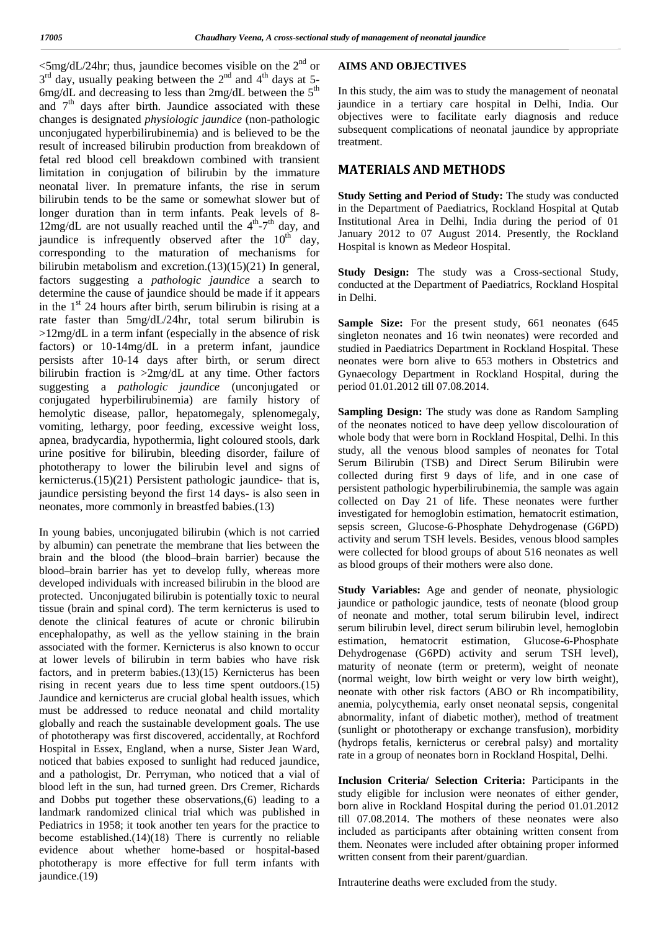$\langle$ 5mg/dL/24hr; thus, jaundice becomes visible on the 2<sup>nd</sup> or Al  $3<sup>rd</sup>$  day, usually peaking between the  $2<sup>nd</sup>$  and  $4<sup>th</sup>$  days at 5- $6$ mg/dL and decreasing to less than 2mg/dL between the 5<sup>th</sup> and  $7<sup>th</sup>$  days after birth. Jaundice associated with these changes is designated *physiologic jaundice* (non-pathologic unconjugated hyperbilirubinemia) and is believed to be the result of increased bilirubin production from breakdown of fetal red blood cell breakdown combined with transient limitation in conjugation of bilirubin by the immature neonatal liver. In premature infants, the rise in serum bilirubin tends to be the same or somewhat slower but of longer duration than in term infants. Peak levels of 8-  $12mg/dL$  are not usually reached until the  $4<sup>th</sup>-7<sup>th</sup>$  day, and  $\frac{Institu}{L}$ jaundice is infrequently observed after the  $10^{th}$  day, corresponding to the maturation of mechanisms for bilirubin metabolism and excretion.(13)(15)(21) In general, factors suggesting a *pathologic jaundice* a search to determine the cause of jaundice should be made if it appears in the  $1<sup>st</sup>$  24 hours after birth, serum bilirubin is rising at a rate faster than 5mg/dL/24hr, total serum bilirubin is >12mg/dL in a term infant (especially in the absence of risk factors) or 10-14mg/dL in a preterm infant, jaundice persists after 10-14 days after birth, or serum direct bilirubin fraction is >2mg/dL at any time. Other factors suggesting a *pathologic jaundice* (unconjugated or conjugated hyperbilirubinemia) are family history of hemolytic disease, pallor, hepatomegaly, splenomegaly, vomiting, lethargy, poor feeding, excessive weight loss, apnea, bradycardia, hypothermia, light coloured stools, dark urine positive for bilirubin, bleeding disorder, failure of phototherapy to lower the bilirubin level and signs of kernicterus.(15)(21) Persistent pathologic jaundice- that is, jaundice persisting beyond the first 14 days- is also seen in neonates, more commonly in breastfed babies.(13)

In young babies, unconjugated bilirubin (which is not carried by albumin) can penetrate the membrane that lies between the brain and the blood (the blood–brain barrier) because the blood–brain barrier has yet to develop fully, whereas more developed individuals with increased bilirubin in the blood are protected. Unconjugated bilirubin is potentially toxic to neural tissue (brain and spinal cord). The term kernicterus is used to denote the clinical features of acute or chronic bilirubin encephalopathy, as well as the yellow staining in the brain setund our estimation. associated with the former. Kernicterus is also known to occur at lower levels of bilirubin in term babies who have risk factors, and in preterm babies.(13)(15) Kernicterus has been rising in recent years due to less time spent outdoors.(15) Jaundice and kernicterus are crucial global health issues, which must be addressed to reduce neonatal and child mortality globally and reach the sustainable development goals. The use of phototherapy was first discovered, accidentally, at Rochford Hospital in Essex, England, when a nurse, Sister Jean Ward, noticed that babies exposed to sunlight had reduced jaundice, and a pathologist, Dr. Perryman, who noticed that a vial of blood left in the sun, had turned green. Drs Cremer, Richards and Dobbs put together these observations,(6) leading to a landmark randomized clinical trial which was published in Pediatrics in 1958; it took another ten years for the practice to become established.(14)(18) There is currently no reliable evidence about whether home-based or hospital-based phototherapy is more effective for full term infants with jaundice.(19)

### **AIMS AND OBJECTIVES**

In this study, the aim was to study the management of neonatal jaundice in a tertiary care hospital in Delhi, India. Our objectives were to facilitate early diagnosis and reduce subsequent complications of neonatal jaundice by appropriate treatment.

# **MATERIALS AND METHODS**

**Study Setting and Period of Study:** The study was conducted in the Department of Paediatrics, Rockland Hospital at Qutab Institutional Area in Delhi, India during the period of 01 January 2012 to 07 August 2014. Presently, the Rockland Hospital is known as Medeor Hospital.

**Study Design:** The study was a Cross-sectional Study, conducted at the Department of Paediatrics, Rockland Hospital in Delhi.

**Sample Size:** For the present study, 661 neonates (645) singleton neonates and 16 twin neonates) were recorded and studied in Paediatrics Department in Rockland Hospital. These neonates were born alive to 653 mothers in Obstetrics and Gynaecology Department in Rockland Hospital, during the period 01.01.2012 till 07.08.2014.

**Sampling Design:** The study was done as Random Sampling of the neonates noticed to have deep yellow discolouration of whole body that were born in Rockland Hospital, Delhi. In this study, all the venous blood samples of neonates for Total Serum Bilirubin (TSB) and Direct Serum Bilirubin were collected during first 9 days of life, and in one case of persistent pathologic hyperbilirubinemia, the sample was again collected on Day 21 of life. These neonates were further investigated for hemoglobin estimation, hematocrit estimation, sepsis screen, Glucose-6-Phosphate Dehydrogenase (G6PD) activity and serum TSH levels. Besides, venous blood samples were collected for blood groups of about 516 neonates as well as blood groups of their mothers were also done.

**Study Variables:** Age and gender of neonate, physiologic jaundice or pathologic jaundice, tests of neonate (blood group of neonate and mother, total serum bilirubin level, indirect serum bilirubin level, direct serum bilirubin level, hemoglobin hematocrit estimation, Glucose-6-Phosphate Dehydrogenase (G6PD) activity and serum TSH level), maturity of neonate (term or preterm), weight of neonate (normal weight, low birth weight or very low birth weight), neonate with other risk factors (ABO or Rh incompatibility, anemia, polycythemia, early onset neonatal sepsis, congenital abnormality, infant of diabetic mother), method of treatment (sunlight or phototherapy or exchange transfusion), morbidity (hydrops fetalis, kernicterus or cerebral palsy) and mortality rate in a group of neonates born in Rockland Hospital, Delhi.

**Inclusion Criteria/ Selection Criteria:** Participants in the study eligible for inclusion were neonates of either gender, born alive in Rockland Hospital during the period 01.01.2012 till 07.08.2014. The mothers of these neonates were also included as participants after obtaining written consent from them. Neonates were included after obtaining proper informed written consent from their parent/guardian.

Intrauterine deaths were excluded from the study.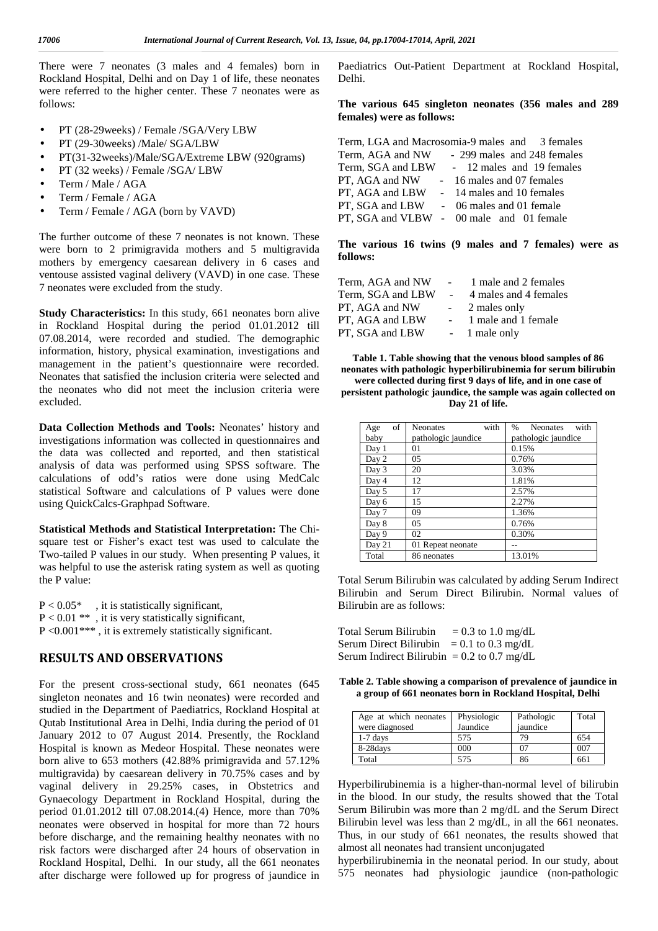There were 7 neonates (3 males and 4 females) born in Rockland Hospital, Delhi and on Day 1 of life, these neonates were referred to the higher center. These 7 neonates were as follows:

- PT (28-29weeks) / Female /SGA/Very LBW
- PT (29-30weeks) /Male/ SGA/LBW
- PT(31-32weeks)/Male/SGA/Extreme LBW (920grams)
- PT (32 weeks) / Female /SGA/ LBW
- Term / Male / AGA
- Term / Female / AGA
- Term / Female / AGA (born by VAVD)

The further outcome of these 7 neonates is not known. These were born to 2 primigravida mothers and 5 multigravida mothers by emergency caesarean delivery in 6 cases and ventouse assisted vaginal delivery (VAVD) in one case. These 7 neonates were excluded from the study.

**Study Characteristics:** In this study, 661 neonates born alive in Rockland Hospital during the period 01.01.2012 till 07.08.2014, were recorded and studied. The demographic information, history, physical examination, investigations and management in the patient's questionnaire were recorded. Neonates that satisfied the inclusion criteria were selected and the neonates who did not meet the inclusion criteria were excluded.

**Data Collection Methods and Tools:** Neonates' history and investigations information was collected in questionnaires and the data was collected and reported, and then statistical analysis of data was performed using SPSS software. The calculations of odd's ratios were done using MedCalc statistical Software and calculations of P values were done using QuickCalcs-Graphpad Software.

**Statistical Methods and Statistical Interpretation:** The Chi square test or Fisher's exact test was used to calculate the Two-tailed P values in our study. When presenting P values, it was helpful to use the asterisk rating system as well as quoting the P value:

 $P < 0.05^*$ , it is statistically significant,  $P < 0.01$  \*\* , it is very statistically significant, P <0.001\*\*\* , it is extremely statistically significant.

# **RESULTS AND OBSERVATIONS**

For the present cross-sectional study, 661 neonates (645 singleton neonates and 16 twin neonates) were recorded and studied in the Department of Paediatrics, Rockland Hospital at Qutab Institutional Area in Delhi, India during the period of 01 January 2012 to 07 August 2014. Presently, the Rockland Hospital is known as Medeor Hospital. These neonates were born alive to 653 mothers (42.88% primigravida and 57.12% multigravida) by caesarean delivery in 70.75% cases and by vaginal delivery in 29.25% cases, in Obstetrics and Gynaecology Department in Rockland Hospital, during the period 01.01.2012 till 07.08.2014.(4) Hence, more than 70% neonates were observed in hospital for more than 72 hours before discharge, and the remaining healthy neonates with no risk factors were discharged after 24 hours of observation in Rockland Hospital, Delhi. In our study, all the 661 neonates after discharge were followed up for progress of jaundice in

Paediatrics Out-Patient Department at Rockland Hospital, Delhi.

#### **The various 645 singleton neonates (356 males and 289 females) were as follows:**

|                  | Term, LGA and Macrosomia-9 males and 3 females |
|------------------|------------------------------------------------|
| Term, AGA and NW | - 299 males and 248 females                    |
|                  | Term, SGA and LBW - 12 males and 19 females    |
| PT, AGA and NW   | - 16 males and 07 females                      |
|                  | PT, AGA and LBW - 14 males and 10 females      |
|                  | PT, SGA and LBW - 06 males and 01 female       |
|                  | PT, SGA and VLBW - 00 male and 01 female       |

**The various 16 twins (9 males and 7 females) were as follows:**

| Term, AGA and NW  | $\sim 100$ km s $^{-1}$ | 1 male and 2 females  |
|-------------------|-------------------------|-----------------------|
| Term, SGA and LBW | $\sim 100$ km s $^{-1}$ | 4 males and 4 females |
| PT, AGA and NW    | $\sim$ 10 $\pm$         | 2 males only          |
| PT, AGA and LBW   | $\sim 100$              | 1 male and 1 female   |
| PT, SGA and LBW   |                         | - 1 male only         |

**Table 1. Table showing that the venous blood samples of 86 neonates with pathologic hyperbilirubinemia for serum bilirubin were collected during first 9 days of life, and in one case of persistent pathologic jaundice, the sample was again collected on Day 21 of life.**

| of<br>Age | with<br><b>Neonates</b> | with<br>$\frac{0}{0}$<br><b>Neonates</b> |
|-----------|-------------------------|------------------------------------------|
| baby      | pathologic jaundice     | pathologic jaundice                      |
| Day 1     | 01                      | 0.15%                                    |
| Day 2     | 05                      | 0.76%                                    |
| Day 3     | 20                      | 3.03%                                    |
| Day 4     | 12                      | 1.81%                                    |
| Day 5     | 17                      | 2.57%                                    |
| Day 6     | 15                      | 2.27%                                    |
| Day 7     | 09                      | 1.36%                                    |
| Day 8     | 05                      | 0.76%                                    |
| Day 9     | 02                      | 0.30%                                    |
| Day 21    | 01 Repeat neonate       | --                                       |
| Total     | 86 neonates             | 13.01%                                   |

Total Serum Bilirubin was calculated by adding Serum Indirect Bilirubin and Serum Direct Bilirubin. Normal values of Bilirubin are as follows:

Total Serum Bilirubin  $= 0.3$  to 1.0 mg/dL Serum Direct Bilirubin =  $0.1$  to  $0.3$  mg/dL Serum Indirect Bilirubin =  $0.2$  to  $0.7$  mg/dL

**Table 2. Table showing a comparison of prevalence of jaundice in a group of 661 neonates born in Rockland Hospital, Delhi**

| Age at which neonates<br>were diagnosed | Physiologic<br>Jaundice | Pathologic<br>jaundice | Total |
|-----------------------------------------|-------------------------|------------------------|-------|
| $1-7$ days                              | 575                     | 79                     | 654   |
| 8-28days                                | 000                     |                        | 007   |
| Total                                   | 575                     | 86                     | 661   |

Hyperbilirubinemia is a higher-than-normal level of bilirubin in the blood. In our study, the results showed that the Total Serum Bilirubin was more than 2 mg/dL and the Serum Direct Bilirubin level was less than 2 mg/dL, in all the 661 neonates. Thus, in our study of 661 neonates, the results showed that almost all neonates had transient unconjugated

hyperbilirubinemia in the neonatal period. In our study, about 575 neonates had physiologic jaundice (non-pathologic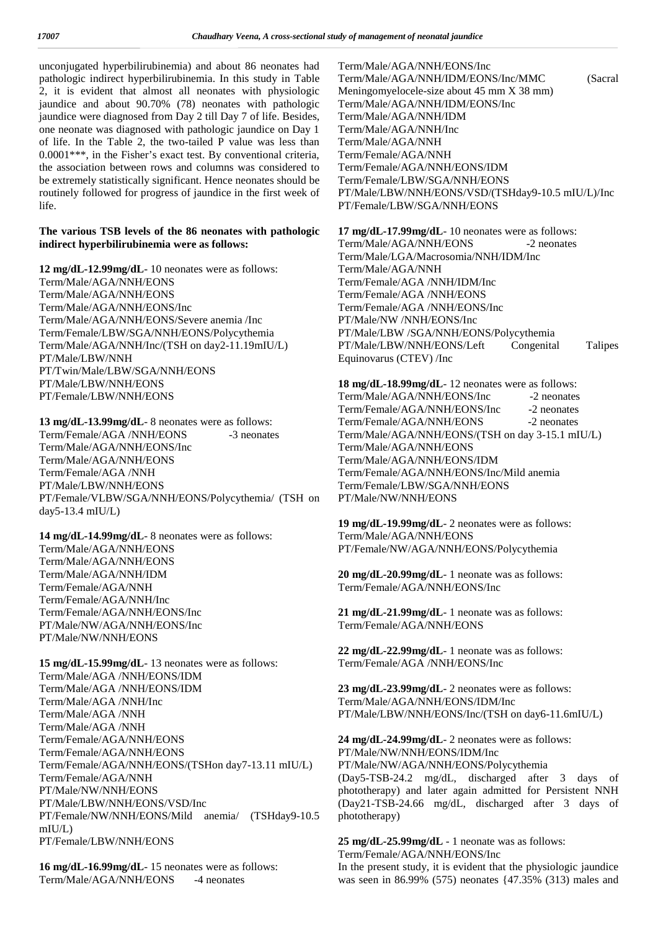unconjugated hyperbilirubinemia) and about 86 neonates had pathologic indirect hyperbilirubinemia. In this study in Table 2, it is evident that almost all neonates with physiologic jaundice and about 90.70% (78) neonates with pathologic jaundice were diagnosed from Day 2 till Day 7 of life. Besides, one neonate was diagnosed with pathologic jaundice on Day 1 of life. In the Table 2, the two-tailed P value was less than 0.0001\*\*\*, in the Fisher's exact test. By conventional criteria, the association between rows and columns was considered to be extremely statistically significant. Hence neonates should be routinely followed for progress of jaundice in the first week of life.

### **The various TSB levels of the 86 neonates with pathologic indirect hyperbilirubinemia were as follows:**

**12 mg/dL-12.99mg/dL**- 10 neonates were as follows: Term/Male/AGA/NNH/EONS Term/Male/AGA/NNH/EONS Term/Male/AGA/NNH/EONS/Inc Term/Male/AGA/NNH/EONS/Severe anemia /Inc Term/Female/LBW/SGA/NNH/EONS/Polycythemia Term/Male/AGA/NNH/Inc/(TSH on day2-11.19mIU/L) PT/Male/LBW/NNH PT/Twin/Male/LBW/SGA/NNH/EONS PT/Male/LBW/NNH/EONS PT/Female/LBW/NNH/EONS

**13 mg/dL-13.99mg/dL**- 8 neonates were as follows: Term/Female/AGA /NNH/EONS -3 neonates Term/Male/AGA/NNH/EONS/Inc Term/Male/AGA/NNH/EONS Term/Female/AGA /NNH PT/Male/LBW/NNH/EONS PT/Female/VLBW/SGA/NNH/EONS/Polycythemia/ (TSH on day5-13.4 mIU/L)

**14 mg/dL-14.99mg/dL**- 8 neonates were as follows: Term/Male/AGA/NNH/EONS Term/Male/AGA/NNH/EONS Term/Male/AGA/NNH/IDM Term/Female/AGA/NNH Term/Female/AGA/NNH/Inc Term/Female/AGA/NNH/EONS/Inc PT/Male/NW/AGA/NNH/EONS/Inc PT/Male/NW/NNH/EONS

**15 mg/dL-15.99mg/dL**- 13 neonates were as follows: Term/Male/AGA /NNH/EONS/IDM Term/Male/AGA /NNH/EONS/IDM Term/Male/AGA /NNH/Inc Term/Male/AGA /NNH Term/Male/AGA /NNH Term/Female/AGA/NNH/EONS Term/Female/AGA/NNH/EONS Term/Female/AGA/NNH/EONS/(TSHon day7-13.11 mIU/L) Term/Female/AGA/NNH PT/Male/NW/NNH/EONS PT/Male/LBW/NNH/EONS/VSD/Inc PT/Female/NW/NNH/EONS/Mild anemia/ (TSHday9-10.5 mIU/L) PT/Female/LBW/NNH/EONS

**16 mg/dL-16.99mg/dL**- 15 neonates were as follows: Term/Male/AGA/NNH/EONS -4 neonates

Term/Male/AGA/NNH/EONS/Inc Term/Male/AGA/NNH/IDM/EONS/Inc/MMC (Sacral Meningomyelocele-size about 45 mm X 38 mm) Term/Male/AGA/NNH/IDM/EONS/Inc Term/Male/AGA/NNH/IDM Term/Male/AGA/NNH/Inc Term/Male/AGA/NNH Term/Female/AGA/NNH Term/Female/AGA/NNH/EONS/IDM Term/Female/LBW/SGA/NNH/EONS PT/Male/LBW/NNH/EONS/VSD/(TSHday9-10.5 mIU/L)/Inc PT/Female/LBW/SGA/NNH/EONS

**17 mg/dL-17.99mg/dL**- 10 neonates were as follows: Term/Male/AGA/NNH/EONS -2 neonates Term/Male/LGA/Macrosomia/NNH/IDM/Inc Term/Male/AGA/NNH Term/Female/AGA /NNH/IDM/Inc Term/Female/AGA /NNH/EONS Term/Female/AGA /NNH/EONS/Inc PT/Male/NW /NNH/EONS/Inc PT/Male/LBW /SGA/NNH/EONS/Polycythemia PT/Male/LBW/NNH/EONS/Left Congenital Talipes Equinovarus (CTEV) /Inc

**18 mg/dL-18.99mg/dL**- 12 neonates were as follows: Term/Male/AGA/NNH/EONS/Inc -2 neonates Term/Female/AGA/NNH/EONS/Inc -2 neonates Term/Female/AGA/NNH/EONS -2 neonates Term/Male/AGA/NNH/EONS/(TSH on day 3-15.1 mIU/L) Term/Male/AGA/NNH/EONS Term/Male/AGA/NNH/EONS/IDM Term/Female/AGA/NNH/EONS/Inc/Mild anemia Term/Female/LBW/SGA/NNH/EONS PT/Male/NW/NNH/EONS

**19 mg/dL-19.99mg/dL**- 2 neonates were as follows: Term/Male/AGA/NNH/EONS PT/Female/NW/AGA/NNH/EONS/Polycythemia

**20 mg/dL-20.99mg/dL**- 1 neonate was as follows: Term/Female/AGA/NNH/EONS/Inc

**21 mg/dL-21.99mg/dL**- 1 neonate was as follows: Term/Female/AGA/NNH/EONS

**22 mg/dL-22.99mg/dL**- 1 neonate was as follows: Term/Female/AGA /NNH/EONS/Inc

**23 mg/dL-23.99mg/dL**- 2 neonates were as follows: Term/Male/AGA/NNH/EONS/IDM/Inc PT/Male/LBW/NNH/EONS/Inc/(TSH on day6-11.6mIU/L)

**24 mg/dL-24.99mg/dL**- 2 neonates were as follows: PT/Male/NW/NNH/EONS/IDM/Inc PT/Male/NW/AGA/NNH/EONS/Polycythemia (Day5-TSB-24.2 mg/dL, discharged after 3 days of phototherapy) and later again admitted for Persistent NNH (Day21-TSB-24.66 mg/dL, discharged after 3 days of phototherapy)

**25 mg/dL-25.99mg/dL** - 1 neonate was as follows: Term/Female/AGA/NNH/EONS/Inc In the present study, it is evident that the physiologic jaundice was seen in 86.99% (575) neonates {47.35% (313) males and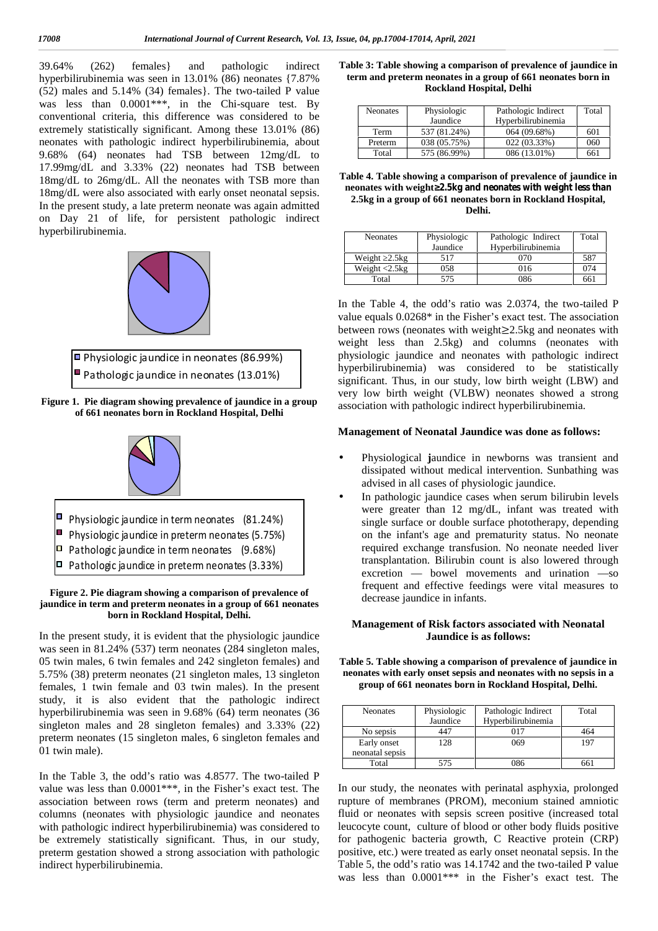39.64% (262) females} and pathologic indirect hyperbilirubinemia was seen in 13.01% (86) neonates {7.87% (52) males and 5.14% (34) females}. The two-tailed P value was less than  $0.0001***$ , in the Chi-square test. By conventional criteria, this difference was considered to be extremely statistically significant. Among these 13.01% (86) neonates with pathologic indirect hyperbilirubinemia, about 9.68% (64) neonates had TSB between 12mg/dL to 17.99mg/dL and 3.33% (22) neonates had TSB between 18mg/dL to 26mg/dL. All the neonates with TSB more than 18mg/dL were also associated with early onset neonatal sepsis. In the present study, a late preterm neonate was again admitted on Day 21 of life, for persistent pathologic indirect hyperbilirubinemia.





**Figure 1. Pie diagram showing prevalence of jaundice in a group of 661 neonates born in Rockland Hospital, Delhi**



**Figure 2. Pie diagram showing a comparison of prevalence of jaundice in term and preterm neonates in a group of 661 neonates born in Rockland Hospital, Delhi.**

In the present study, it is evident that the physiologic jaundice was seen in 81.24% (537) term neonates (284 singleton males, 05 twin males, 6 twin females and 242 singleton females) and 5.75% (38) preterm neonates (21 singleton males, 13 singleton females, 1 twin female and 03 twin males). In the present study, it is also evident that the pathologic indirect hyperbilirubinemia was seen in 9.68% (64) term neonates (36 singleton males and 28 singleton females) and 3.33% (22) preterm neonates (15 singleton males, 6 singleton females and 01 twin male).

In the Table 3, the odd's ratio was 4.8577. The two-tailed P value was less than 0.0001\*\*\*, in the Fisher's exact test. The association between rows (term and preterm neonates) and columns (neonates with physiologic jaundice and neonates with pathologic indirect hyperbilirubinemia) was considered to be extremely statistically significant. Thus, in our study, preterm gestation showed a strong association with pathologic indirect hyperbilirubinemia.

| Table 3: Table showing a comparison of prevalence of jaundice in |
|------------------------------------------------------------------|
| term and preterm neonates in a group of 661 neonates born in     |
| Rockland Hospital, Delhi                                         |

| Neonates | Physiologic  | Pathologic Indirect | Total |
|----------|--------------|---------------------|-------|
|          | Jaundice     | Hyperbilirubinemia  |       |
| Term     | 537 (81.24%) | 064(09.68%)         | 601   |
| Preterm  | 038 (05.75%) | 022(03.33%)         | 060   |
| Total    | 575 (86.99%) | 086 (13.01%)        | 661   |

**Table 4. Table showing a comparison of prevalence of jaundice in neonates with weight≥2.5kg and neonates with weight less than 2.5kg in a group of 661 neonates born in Rockland Hospital, Delhi.**

| <b>Neonates</b>                        | Physiologic<br>Jaundice | Pathologic Indirect<br>Hyperbilirubinemia | Total |
|----------------------------------------|-------------------------|-------------------------------------------|-------|
| Weight 2.5kg                           | 517                     | 070                                       | 587   |
| Weight $\langle 2.5 \text{kg} \rangle$ | 058                     | 016                                       | 074   |
| Total                                  | 575                     | 086                                       | 661   |

In the Table 4, the odd's ratio was 2.0374, the two-tailed P value equals 0.0268\* in the Fisher's exact test. The association between rows (neonates with weight≥2.5kg and neonates with weight less than 2.5kg) and columns (neonates with physiologic jaundice and neonates with pathologic indirect hyperbilirubinemia) was considered to be statistically significant. Thus, in our study, low birth weight (LBW) and very low birth weight (VLBW) neonates showed a strong association with pathologic indirect hyperbilirubinemia.

#### **Management of Neonatal Jaundice was done as follows:**

- Physiological **j**aundice in newborns was transient and dissipated without medical intervention. Sunbathing was advised in all cases of physiologic jaundice.
- $\parallel$  In pathologic jaundice cases when serum bilirubin levels were greater than 12 mg/dL, infant was treated with single surface or double surface phototherapy, depending on the infant's age and prematurity status. No neonate required exchange transfusion. No neonate needed liver transplantation. Bilirubin count is also lowered through excretion — bowel movements and urination —so frequent and effective feedings were vital measures to decrease jaundice in infants.

### **Management of Risk factors associated with Neonatal Jaundice is as follows:**

**Table 5. Table showing a comparison of prevalence of jaundice in neonates with early onset sepsis and neonates with no sepsis in a group of 661 neonates born in Rockland Hospital, Delhi.**

| <b>Neonates</b> | Physiologic | Pathologic Indirect | Total |
|-----------------|-------------|---------------------|-------|
|                 | Jaundice    | Hyperbilirubinemia  |       |
| No sepsis       | 447         | 017                 | 464   |
| Early onset     | 128         | 069                 | 197   |
| neonatal sepsis |             |                     |       |
| Total           | 575         | 086                 | 661   |

In our study, the neonates with perinatal asphyxia, prolonged rupture of membranes (PROM), meconium stained amniotic fluid or neonates with sepsis screen positive (increased total leucocyte count, culture of blood or other body fluids positive for pathogenic bacteria growth, C Reactive protein (CRP) positive, etc.) were treated as early onset neonatal sepsis. In the Table 5, the odd's ratio was 14.1742 and the two-tailed P value was less than 0.0001\*\*\* in the Fisher's exact test. The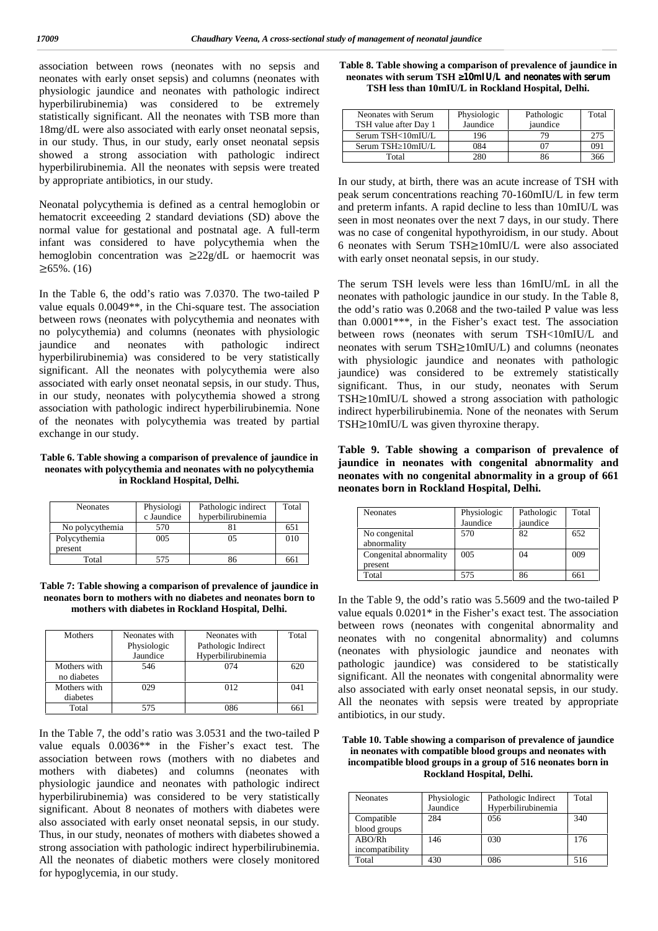association between rows (neonates with no sepsis and neonates with early onset sepsis) and columns (neonates with physiologic jaundice and neonates with pathologic indirect hyperbilirubinemia) was considered to be extremely statistically significant. All the neonates with TSB more than 18mg/dL were also associated with early onset neonatal sepsis, in our study. Thus, in our study, early onset neonatal sepsis showed a strong association with pathologic indirect hyperbilirubinemia. All the neonates with sepsis were treated by appropriate antibiotics, in our study.

Neonatal polycythemia is defined as a central hemoglobin or hematocrit exceeeding 2 standard deviations (SD) above the normal value for gestational and postnatal age. A full-term infant was considered to have polycythemia when the hemoglobin concentration was ≥22g/dL or haemocrit was  $≥65\%$ . (16)

In the Table 6, the odd's ratio was 7.0370. The two-tailed P value equals 0.0049\*\*, in the Chi-square test. The association between rows (neonates with polycythemia and neonates with no polycythemia) and columns (neonates with physiologic jaundice and neonates with pathologic indirect hyperbilirubinemia) was considered to be very statistically significant. All the neonates with polycythemia were also associated with early onset neonatal sepsis, in our study. Thus, in our study, neonates with polycythemia showed a strong association with pathologic indirect hyperbilirubinemia. None of the neonates with polycythemia was treated by partial exchange in our study.

#### **Table 6. Table showing a comparison of prevalence of jaundice in neonates with polycythemia and neonates with no polycythemia in Rockland Hospital, Delhi.**

| <b>Neonates</b> | Physiologi<br>c Jaundice | Pathologic indirect<br>hyperbilirubinemia | Total |
|-----------------|--------------------------|-------------------------------------------|-------|
| No polycythemia | 570                      |                                           | 651   |
| Polycythemia    | 005                      | 05                                        | 010   |
| present         |                          |                                           |       |
| Total           | 575                      |                                           | 661   |

**Table 7: Table showing a comparison of prevalence of jaundice in neonates born to mothers with no diabetes and neonates born to mothers with diabetes in Rockland Hospital, Delhi.**

| Mothers      | Neonates with | Neonates with       | Total |
|--------------|---------------|---------------------|-------|
|              | Physiologic   | Pathologic Indirect |       |
|              | Jaundice      | Hyperbilirubinemia  |       |
| Mothers with | 546           | 074                 | 620   |
| no diabetes  |               |                     |       |
| Mothers with | 029           | 012                 | 041   |
| diabetes     |               |                     |       |
| Total        | 575           | 186                 | 66    |

In the Table 7, the odd's ratio was 3.0531 and the two-tailed P value equals 0.0036\*\* in the Fisher's exact test. The association between rows (mothers with no diabetes and mothers with diabetes) and columns (neonates with physiologic jaundice and neonates with pathologic indirect hyperbilirubinemia) was considered to be very statistically significant. About 8 neonates of mothers with diabetes were also associated with early onset neonatal sepsis, in our study. Thus, in our study, neonates of mothers with diabetes showed a strong association with pathologic indirect hyperbilirubinemia. All the neonates of diabetic mothers were closely monitored for hypoglycemia, in our study.

| Table 8. Table showing a comparison of prevalence of jaundice in |  |
|------------------------------------------------------------------|--|
| neonates with serum TSH 10mIU/L and neonates with serum          |  |
| TSH less than 10mIU/L in Rockland Hospital, Delhi.               |  |

| Neonates with Serum<br>TSH value after Day 1 | Physiologic<br>Jaundice | Pathologic<br>iaundice | Total |
|----------------------------------------------|-------------------------|------------------------|-------|
| Serum TSH<10mIU/L                            | 196                     |                        |       |
| Serum TSH 10mIU/L                            | 084                     |                        | 091   |
| Total                                        | 280                     |                        | 366   |

In our study, at birth, there was an acute increase of TSH with peak serum concentrations reaching 70-160mIU/L in few term and preterm infants. A rapid decline to less than 10mIU/L was seen in most neonates over the next 7 days, in our study. There was no case of congenital hypothyroidism, in our study. About 6 neonates with Serum TSH≥10mIU/L were also associated with early onset neonatal sepsis, in our study.

The serum TSH levels were less than 16mIU/mL in all the neonates with pathologic jaundice in our study. In the Table 8, the odd's ratio was 0.2068 and the two-tailed P value was less than 0.0001\*\*\*, in the Fisher's exact test. The association between rows (neonates with serum TSH<10mIU/L and neonates with serum TSH≥10mIU/L) and columns (neonates with physiologic jaundice and neonates with pathologic jaundice) was considered to be extremely statistically significant. Thus, in our study, neonates with Serum TSH≥10mIU/L showed a strong association with pathologic indirect hyperbilirubinemia. None of the neonates with Serum TSH≥10mIU/L was given thyroxine therapy.

**Table 9. Table showing a comparison of prevalence of jaundice in neonates with congenital abnormality and neonates with no congenital abnormality in a group of 661 neonates born in Rockland Hospital, Delhi.**

| <b>Neonates</b>        | Physiologic | Pathologic | Total |
|------------------------|-------------|------------|-------|
|                        | Jaundice    | jaundice   |       |
| No congenital          | 570         | 82         | 652   |
| abnormality            |             |            |       |
| Congenital abnormality | 005         | 04         | 009   |
| present                |             |            |       |
| Total                  | 575         | 86         | 661   |

In the Table 9, the odd's ratio was 5.5609 and the two-tailed P value equals 0.0201\* in the Fisher's exact test. The association between rows (neonates with congenital abnormality and neonates with no congenital abnormality) and columns (neonates with physiologic jaundice and neonates with pathologic jaundice) was considered to be statistically significant. All the neonates with congenital abnormality were also associated with early onset neonatal sepsis, in our study. All the neonates with sepsis were treated by appropriate antibiotics, in our study.

**Table 10. Table showing a comparison of prevalence of jaundice in neonates with compatible blood groups and neonates with incompatible blood groups in a group of 516 neonates born in Rockland Hospital, Delhi.**

| <b>Neonates</b> | Physiologic<br>Jaundice | Pathologic Indirect<br>Hyperbilirubinemia | Total |
|-----------------|-------------------------|-------------------------------------------|-------|
| Compatible      | 284                     | 056                                       | 340   |
| blood groups    |                         |                                           |       |
| ABO/Rh          | 146                     | 030                                       | 176   |
| incompatibility |                         |                                           |       |
| Total           | 430                     | 086                                       | 516   |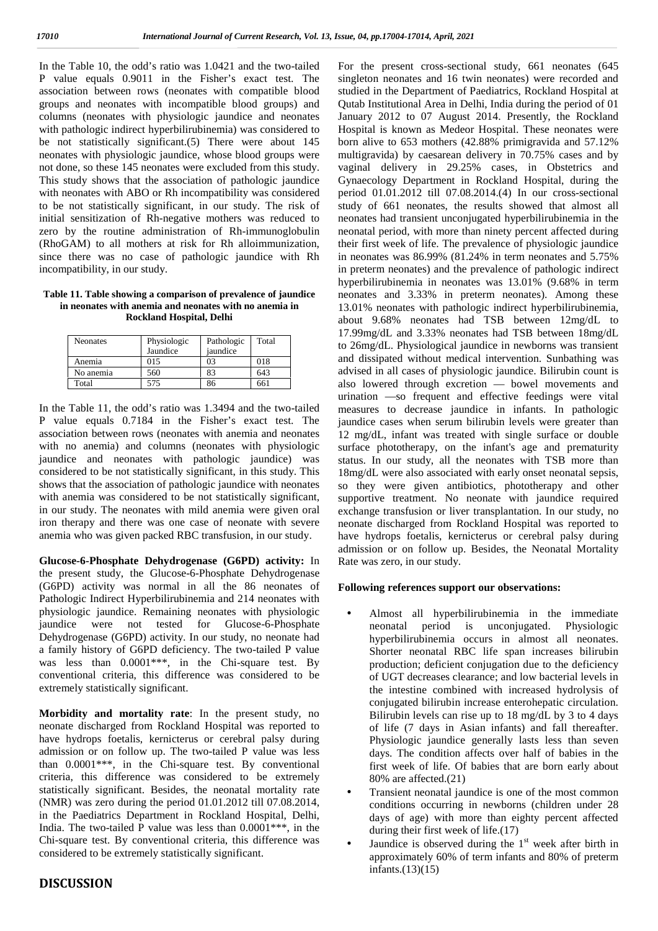In the Table 10, the odd's ratio was 1.0421 and the two-tailed P value equals 0.9011 in the Fisher's exact test. The association between rows (neonates with compatible blood groups and neonates with incompatible blood groups) and columns (neonates with physiologic jaundice and neonates with pathologic indirect hyperbilirubinemia) was considered to be not statistically significant.(5) There were about 145 neonates with physiologic jaundice, whose blood groups were not done, so these 145 neonates were excluded from this study. This study shows that the association of pathologic jaundice with neonates with ABO or Rh incompatibility was considered to be not statistically significant, in our study. The risk of initial sensitization of Rh-negative mothers was reduced to zero by the routine administration of Rh-immunoglobulin (RhoGAM) to all mothers at risk for Rh alloimmunization, since there was no case of pathologic jaundice with Rh incompatibility, in our study.

#### **Table 11. Table showing a comparison of prevalence of jaundice in neonates with anemia and neonates with no anemia in Rockland Hospital, Delhi**

| <b>Neonates</b> | Physiologic<br>Jaundice | Pathologic<br>jaundice | Total |
|-----------------|-------------------------|------------------------|-------|
| Anemia          | 015                     | 03                     | 018   |
| No anemia       | 560                     | 83                     | 643   |
| Total           | 575                     | 86                     | 661   |

In the Table 11, the odd's ratio was 1.3494 and the two-tailed P value equals 0.7184 in the Fisher's exact test. The association between rows (neonates with anemia and neonates with no anemia) and columns (neonates with physiologic jaundice and neonates with pathologic jaundice) was considered to be not statistically significant, in this study. This shows that the association of pathologic jaundice with neonates with anemia was considered to be not statistically significant, in our study. The neonates with mild anemia were given oral iron therapy and there was one case of neonate with severe anemia who was given packed RBC transfusion, in our study.

**Glucose-6-Phosphate Dehydrogenase (G6PD) activity:** In the present study, the Glucose-6-Phosphate Dehydrogenase (G6PD) activity was normal in all the 86 neonates of Pathologic Indirect Hyperbilirubinemia and 214 neonates with physiologic jaundice. Remaining neonates with physiologic jaundice were not tested for Dehydrogenase (G6PD) activity. In our study, no neonate had a family history of G6PD deficiency. The two-tailed P value was less than 0.0001\*\*\*, in the Chi-square test. By conventional criteria, this difference was considered to be extremely statistically significant.

**Morbidity and mortality rate**: In the present study, no neonate discharged from Rockland Hospital was reported to have hydrops foetalis, kernicterus or cerebral palsy during admission or on follow up. The two-tailed P value was less than 0.0001\*\*\*, in the Chi-square test. By conventional criteria, this difference was considered to be extremely statistically significant. Besides, the neonatal mortality rate (NMR) was zero during the period 01.01.2012 till 07.08.2014, in the Paediatrics Department in Rockland Hospital, Delhi, India. The two-tailed P value was less than 0.0001\*\*\*, in the Chi-square test. By conventional criteria, this difference was considered to be extremely statistically significant.

# **DISCUSSION**

For the present cross-sectional study, 661 neonates (645 singleton neonates and 16 twin neonates) were recorded and studied in the Department of Paediatrics, Rockland Hospital at Qutab Institutional Area in Delhi, India during the period of 01 January 2012 to 07 August 2014. Presently, the Rockland Hospital is known as Medeor Hospital. These neonates were born alive to 653 mothers (42.88% primigravida and 57.12% multigravida) by caesarean delivery in 70.75% cases and by vaginal delivery in 29.25% cases, in Obstetrics and Gynaecology Department in Rockland Hospital, during the period 01.01.2012 till 07.08.2014.(4) In our cross-sectional study of 661 neonates, the results showed that almost all neonates had transient unconjugated hyperbilirubinemia in the neonatal period, with more than ninety percent affected during their first week of life. The prevalence of physiologic jaundice in neonates was 86.99% (81.24% in term neonates and 5.75% in preterm neonates) and the prevalence of pathologic indirect hyperbilirubinemia in neonates was 13.01% (9.68% in term neonates and 3.33% in preterm neonates). Among these 13.01% neonates with pathologic indirect hyperbilirubinemia, about 9.68% neonates had TSB between 12mg/dL to 17.99mg/dL and 3.33% neonates had TSB between 18mg/dL to 26mg/dL. Physiological jaundice in newborns was transient and dissipated without medical intervention. Sunbathing was advised in all cases of physiologic jaundice. Bilirubin count is also lowered through excretion — bowel movements and urination —so frequent and effective feedings were vital measures to decrease jaundice in infants. In pathologic jaundice cases when serum bilirubin levels were greater than 12 mg/dL, infant was treated with single surface or double surface phototherapy, on the infant's age and prematurity status. In our study, all the neonates with TSB more than 18mg/dL were also associated with early onset neonatal sepsis, so they were given antibiotics, phototherapy and other supportive treatment. No neonate with jaundice required exchange transfusion or liver transplantation. In our study, no neonate discharged from Rockland Hospital was reported to have hydrops foetalis, kernicterus or cerebral palsy during admission or on follow up. Besides, the Neonatal Mortality Rate was zero, in our study.

#### **Following references support our observations:**

- Almost all hyperbilirubinemia in the immediate neonatal period is unconjugated. Physiologic hyperbilirubinemia occurs in almost all neonates. Shorter neonatal RBC life span increases bilirubin production; deficient conjugation due to the deficiency of UGT decreases clearance; and low bacterial levels in the intestine combined with increased hydrolysis of conjugated bilirubin increase enterohepatic circulation. Bilirubin levels can rise up to 18 mg/dL by 3 to 4 days of life (7 days in Asian infants) and fall thereafter. Physiologic jaundice generally lasts less than seven days. The condition affects over half of babies in the first week of life. Of babies that are born early about 80% are affected.(21)
- Transient neonatal jaundice is one of the most common conditions occurring in newborns (children under 28 days of age) with more than eighty percent affected during their first week of life.(17)
- Jaundice is observed during the  $1<sup>st</sup>$  week after birth in approximately 60% of term infants and 80% of preterm infants.(13)(15)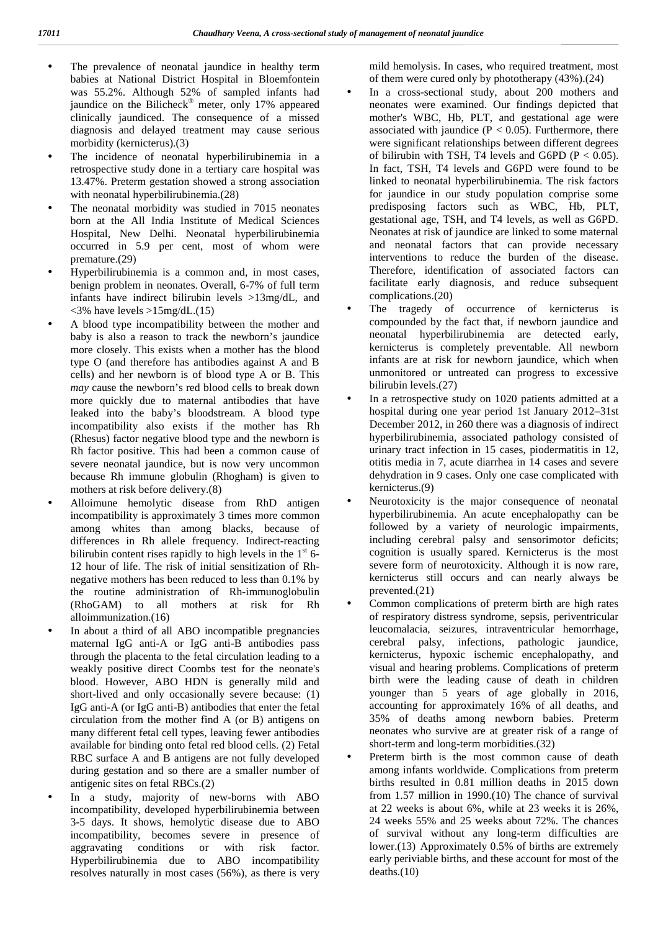- The prevalence of neonatal jaundice in healthy term babies at National District Hospital in Bloemfontein was 55.2%. Although 52% of sampled infants had jaundice on the Bilicheck<sup>®</sup> meter, only 17% appeared clinically jaundiced. The consequence of a missed diagnosis and delayed treatment may cause serious morbidity (kernicterus).(3)
- The incidence of neonatal hyperbilirubinemia in a retrospective study done in a tertiary care hospital was 13.47%. Preterm gestation showed a strong association with neonatal hyperbilirubinemia.(28)
- The neonatal morbidity was studied in 7015 neonates born at the All India Institute of Medical Sciences Hospital, New Delhi. Neonatal hyperbilirubinemia occurred in 5.9 per cent, most of whom were premature.(29)
- Hyperbilirubinemia is a common and, in most cases, benign problem in neonates. Overall, 6-7% of full term infants have indirect bilirubin levels >13mg/dL, and  $\langle 3\%$  have levels  $>15$ mg/dL.(15)
- A blood type incompatibility between the mother and baby is also a reason to track the newborn's jaundice more closely. This exists when a mother has the blood type O (and therefore has antibodies against A and B cells) and her newborn is of blood type A or B. This *may* cause the newborn's red blood cells to break down more quickly due to maternal antibodies that have leaked into the baby's bloodstream. A blood type incompatibility also exists if the mother has Rh (Rhesus) factor negative blood type and the newborn is Rh factor positive. This had been a common cause of severe neonatal jaundice, but is now very uncommon because Rh immune globulin (Rhogham) is given to mothers at risk before delivery.(8)
- Alloimune hemolytic disease from RhD antigen incompatibility is approximately 3 times more common among whites than among blacks, because of differences in Rh allele frequency. Indirect-reacting bilirubin content rises rapidly to high levels in the  $1<sup>st</sup>$  6-12 hour of life. The risk of initial sensitization of Rh negative mothers has been reduced to less than 0.1% by the routine administration of Rh-immunoglobulin (RhoGAM) to all mothers at risk for Rh alloimmunization.(16)
- In about a third of all ABO incompatible pregnancies maternal IgG anti-A or IgG anti-B antibodies pass through the placenta to the fetal circulation leading to a weakly positive direct Coombs test for the neonate's blood. However, ABO HDN is generally mild and short-lived and only occasionally severe because: (1) IgG anti-A (or IgG anti-B) antibodies that enter the fetal circulation from the mother find A (or B) antigens on many different fetal cell types, leaving fewer antibodies available for binding onto fetal red blood cells. (2) Fetal RBC surface A and B antigens are not fully developed during gestation and so there are a smaller number of antigenic sites on fetal RBCs.(2)
- In a study, majority of new-borns with ABO incompatibility, developed hyperbilirubinemia between 3-5 days. It shows, hemolytic disease due to ABO incompatibility, becomes severe in presence of aggravating conditions or with risk factor. Hyperbilirubinemia due to ABO incompatibility resolves naturally in most cases (56%), as there is very

mild hemolysis. In cases, who required treatment, most of them were cured only by phototherapy (43%).(24)

- In a cross-sectional study, about 200 mothers and neonates were examined. Our findings depicted that mother's WBC, Hb, PLT, and gestational age were associated with jaundice ( $P < 0.05$ ). Furthermore, there were significant relationships between different degrees of bilirubin with TSH, T4 levels and G6PD ( $P < 0.05$ ). In fact, TSH, T4 levels and G6PD were found to be linked to neonatal hyperbilirubinemia. The risk factors for jaundice in our study population comprise some predisposing factors such as WBC, Hb, PLT, gestational age, TSH, and T4 levels, as well as G6PD. Neonates at risk of jaundice are linked to some maternal and neonatal factors that can provide necessary interventions to reduce the burden of the disease. Therefore, identification of associated factors can facilitate early diagnosis, and reduce subsequent complications.(20)
- The tragedy of occurrence of kernicterus is compounded by the fact that, if newborn jaundice and neonatal hyperbilirubinemia are detected early, kernicterus is completely preventable. All newborn infants are at risk for newborn jaundice, which when unmonitored or untreated can progress to excessive bilirubin levels.(27)
- In a retrospective study on 1020 patients admitted at a hospital during one year period 1st January 2012–31st December 2012, in 260 there was a diagnosis of indirect hyperbilirubinemia, associated pathology consisted of urinary tract infection in 15 cases, piodermatitis in 12, otitis media in 7, acute diarrhea in 14 cases and severe dehydration in 9 cases. Only one case complicated with kernicterus.(9)
- Neurotoxicity is the major consequence of neonatal hyperbilirubinemia. An acute encephalopathy can be followed by a variety of neurologic impairments, including cerebral palsy and sensorimotor deficits; cognition is usually spared. Kernicterus is the most severe form of neurotoxicity. Although it is now rare, kernicterus still occurs and can nearly always be prevented.(21)
- Common complications of preterm birth are high rates of respiratory distress syndrome, sepsis, periventricular leucomalacia, seizures, intraventricular hemorrhage, cerebral palsy, infections, pathologic jaundice, kernicterus, hypoxic ischemic encephalopathy, and visual and hearing problems. Complications of preterm birth were the leading cause of death in children younger than 5 years of age globally in 2016, accounting for approximately 16% of all deaths, and 35% of deaths among newborn babies. Preterm neonates who survive are at greater risk of a range of short-term and long-term morbidities.(32)
- Preterm birth is the most common cause of death among infants worldwide. Complications from preterm births resulted in 0.81 million deaths in 2015 down from 1.57 million in 1990.(10) The chance of survival at 22 weeks is about 6%, while at 23 weeks it is 26%, 24 weeks 55% and 25 weeks about 72%. The chances of survival without any long-term difficulties are lower.(13) Approximately 0.5% of births are extremely early periviable births, and these account for most of the deaths.(10)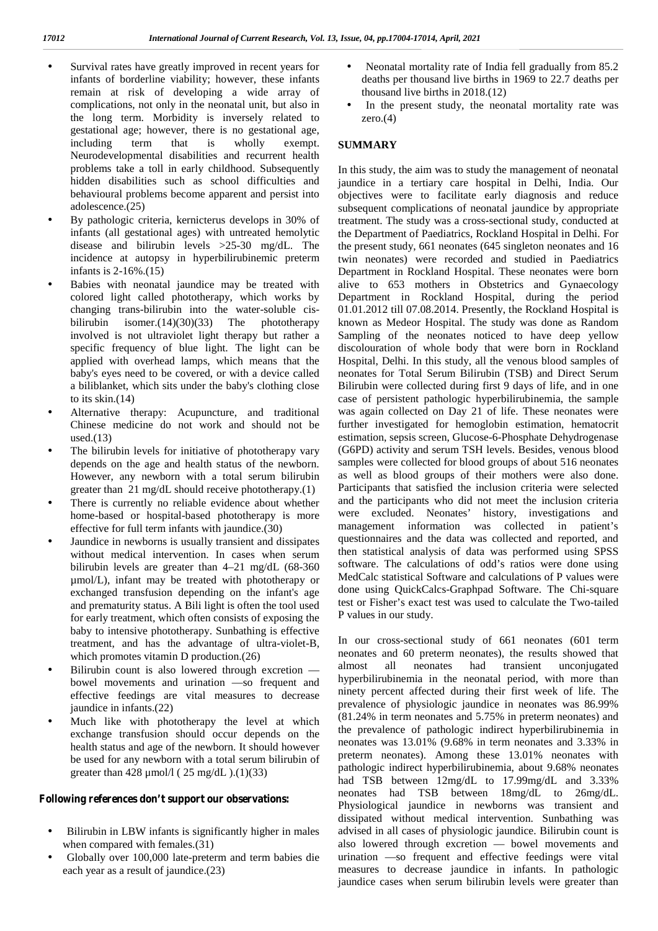- Survival rates have greatly improved in recent years for infants of borderline viability; however, these infants remain at risk of developing a wide array of complications, not only in the neonatal unit, but also in the long term. Morbidity is inversely related to gestational age; however, there is no gestational age, including term that is wholly exempt. Neurodevelopmental disabilities and recurrent health problems take a toll in early childhood. Subsequently hidden disabilities such as school difficulties and behavioural problems become apparent and persist into adolescence.(25)
- By pathologic criteria, kernicterus develops in 30% of infants (all gestational ages) with untreated hemolytic disease and bilirubin levels >25-30 mg/dL. The incidence at autopsy in hyperbilirubinemic preterm infants is 2-16%.(15)
- Babies with neonatal jaundice may be treated with colored light called phototherapy, which works by changing trans-bilirubin into the water-soluble cis bilirubin isomer.(14)(30)(33) The phototherapy involved is not ultraviolet light therapy but rather a specific frequency of blue light. The light can be applied with overhead lamps, which means that the baby's eyes need to be covered, or with a device called a biliblanket, which sits under the baby's clothing close to its skin.(14)
- Alternative therapy: Acupuncture, and traditional Chinese medicine do not work and should not be used. $(13)$
- The bilirubin levels for initiative of phototherapy vary depends on the age and health status of the newborn. However, any newborn with a total serum bilirubin greater than 21 mg/dL should receive phototherapy.(1)
- There is currently no reliable evidence about whether home-based or hospital-based phototherapy is more effective for full term infants with jaundice.(30)
- Jaundice in newborns is usually transient and dissipates without medical intervention. In cases when serum bilirubin levels are greater than 4–21 mg/dL (68-360 µmol/L), infant may be treated with phototherapy or exchanged transfusion depending on the infant's age and prematurity status. A Bili light is often the tool used for early treatment, which often consists of exposing the baby to intensive phototherapy. Sunbathing is effective treatment, and has the advantage of ultra-violet-B, which promotes vitamin D production.(26)
- Bilirubin count is also lowered through excretion bowel movements and urination —so frequent and effective feedings are vital measures to decrease jaundice in infants.(22)
- Much like with phototherapy the level at which exchange transfusion should occur depends on the health status and age of the newborn. It should however be used for any newborn with a total serum bilirubin of greater than  $428 \mu$  umol/l ( $25 \text{ mg/dL}$ ).(1)(33)

#### **Following references don't support our observations:**

- Bilirubin in LBW infants is significantly higher in males when compared with females.(31)
- Globally over 100,000 late-preterm and term babies die each year as a result of jaundice.(23)
- Neonatal mortality rate of India fell gradually from 85.2 deaths per thousand live births in 1969 to 22.7 deaths per thousand live births in 2018.(12)
- In the present study, the neonatal mortality rate was zero.(4)

#### **SUMMARY**

In this study, the aim was to study the management of neonatal jaundice in a tertiary care hospital in Delhi, India. Our objectives were to facilitate early diagnosis and reduce subsequent complications of neonatal jaundice by appropriate treatment. The study was a cross-sectional study, conducted at the Department of Paediatrics, Rockland Hospital in Delhi. For the present study, 661 neonates (645 singleton neonates and 16 twin neonates) were recorded and studied in Paediatrics Department in Rockland Hospital. These neonates were born alive to 653 mothers in Obstetrics and Gynaecology Department in Rockland Hospital, during the period 01.01.2012 till 07.08.2014. Presently, the Rockland Hospital is known as Medeor Hospital. The study was done as Random Sampling of the neonates noticed to have deep yellow discolouration of whole body that were born in Rockland Hospital, Delhi. In this study, all the venous blood samples of neonates for Total Serum Bilirubin (TSB) and Direct Serum Bilirubin were collected during first 9 days of life, and in one case of persistent pathologic hyperbilirubinemia, the sample was again collected on Day 21 of life. These neonates were further investigated for hemoglobin estimation, hematocrit estimation, sepsis screen, Glucose-6-Phosphate Dehydrogenase (G6PD) activity and serum TSH levels. Besides, venous blood samples were collected for blood groups of about 516 neonates as well as blood groups of their mothers were also done. Participants that satisfied the inclusion criteria were selected and the participants who did not meet the inclusion criteria were excluded. Neonates' history, investigations and management information was collected in patient's questionnaires and the data was collected and reported, and then statistical analysis of data was performed using SPSS software. The calculations of odd's ratios were done using MedCalc statistical Software and calculations of P values were done using QuickCalcs-Graphpad Software. The Chi-square test or Fisher's exact test was used to calculate the Two-tailed P values in our study.

In our cross-sectional study of 661 neonates (601 term neonates and 60 preterm neonates), the results showed that neonates had transient unconjugated hyperbilirubinemia in the neonatal period, with more than ninety percent affected during their first week of life. The prevalence of physiologic jaundice in neonates was 86.99% (81.24% in term neonates and 5.75% in preterm neonates) and the prevalence of pathologic indirect hyperbilirubinemia in neonates was 13.01% (9.68% in term neonates and 3.33% in preterm neonates). Among these 13.01% neonates with pathologic indirect hyperbilirubinemia, about 9.68% neonates had TSB between 12mg/dL to 17.99mg/dL and 3.33% neonates had TSB between 18mg/dL to 26mg/dL. Physiological jaundice in newborns was transient and dissipated without medical intervention. Sunbathing was advised in all cases of physiologic jaundice. Bilirubin count is also lowered through excretion — bowel movements and urination —so frequent and effective feedings were vital measures to decrease jaundice in infants. In pathologic jaundice cases when serum bilirubin levels were greater than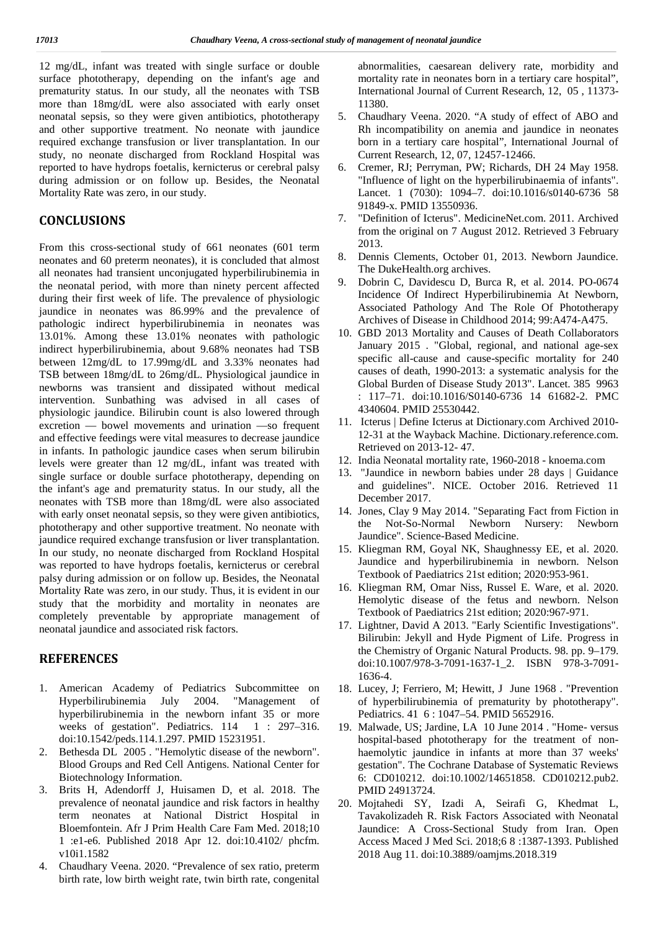12 mg/dL, infant was treated with single surface or double surface phototherapy, depending on the infant's age and prematurity status. In our study, all the neonates with TSB more than 18mg/dL were also associated with early onset neonatal sepsis, so they were given antibiotics, phototherapy and other supportive treatment. No neonate with jaundice required exchange transfusion or liver transplantation. In our study, no neonate discharged from Rockland Hospital was reported to have hydrops foetalis, kernicterus or cerebral palsy during admission or on follow up. Besides, the Neonatal Mortality Rate was zero, in our study.

## **CONCLUSIONS**

From this cross-sectional study of 661 neonates (601 term neonates and 60 preterm neonates), it is concluded that almost all neonates had transient unconjugated hyperbilirubinemia in the neonatal period, with more than ninety percent affected during their first week of life. The prevalence of physiologic jaundice in neonates was 86.99% and the prevalence of pathologic indirect hyperbilirubinemia in neonates was 13.01%. Among these 13.01% neonates with pathologic indirect hyperbilirubinemia, about 9.68% neonates had TSB between 12mg/dL to 17.99mg/dL and 3.33% neonates had TSB between 18mg/dL to 26mg/dL. Physiological jaundice in newborns was transient and dissipated without medical intervention. Sunbathing was advised in all cases of physiologic jaundice. Bilirubin count is also lowered through excretion — bowel movements and urination —so frequent and effective feedings were vital measures to decrease jaundice in infants. In pathologic jaundice cases when serum bilirubin levels were greater than 12 mg/dL, infant was treated with single surface or double surface phototherapy, depending on the infant's age and prematurity status. In our study, all the neonates with TSB more than 18mg/dL were also associated with early onset neonatal sepsis, so they were given antibiotics, phototherapy and other supportive treatment. No neonate with jaundice required exchange transfusion or liver transplantation. In our study, no neonate discharged from Rockland Hospital was reported to have hydrops foetalis, kernicterus or cerebral palsy during admission or on follow up. Besides, the Neonatal Mortality Rate was zero, in our study. Thus, it is evident in our study that the morbidity and mortality in neonates are completely preventable by appropriate management of neonatal jaundice and associated risk factors.

## **REFERENCES**

- 1. American Academy of Pediatrics Subcommittee on Hyperbilirubinemia July 2004. "Management of hyperbilirubinemia in the newborn infant 35 or more weeks of gestation". Pediatrics. 114 1 : 297-316. doi:10.1542/peds.114.1.297. PMID 15231951.
- 2. Bethesda DL 2005 . "Hemolytic disease of the newborn". Blood Groups and Red Cell Antigens. National Center for Biotechnology Information.
- 3. Brits H, Adendorff J, Huisamen D, et al. 2018. The prevalence of neonatal jaundice and risk factors in healthy term neonates at National District Hospital in Bloemfontein. Afr J Prim Health Care Fam Med. 2018;10 1 :e1-e6. Published 2018 Apr 12. doi:10.4102/ phcfm. v10i1.1582
- 4. Chaudhary Veena. 2020. "Prevalence of sex ratio, preterm birth rate, low birth weight rate, twin birth rate, congenital

abnormalities, caesarean delivery rate, morbidity and mortality rate in neonates born in a tertiary care hospital", International Journal of Current Research, 12, 05 , 11373- 11380.

- 5. Chaudhary Veena. 2020. "A study of effect of ABO and Rh incompatibility on anemia and jaundice in neonates born in a tertiary care hospital", International Journal of Current Research, 12, 07, 12457-12466.
- 6. Cremer, RJ; Perryman, PW; Richards, DH 24 May 1958. "Influence of light on the hyperbilirubinaemia of infants". Lancet. 1 (7030): 1094–7. doi:10.1016/s0140-6736 58 91849-x. PMID 13550936.
- 7. "Definition of Icterus". MedicineNet.com. 2011. Archived from the original on 7 August 2012. Retrieved 3 February 2013.
- 8. Dennis Clements, October 01, 2013. Newborn Jaundice. The DukeHealth.org archives.
- 9. Dobrin C, Davidescu D, Burca R, et al. 2014. PO-0674 Incidence Of Indirect Hyperbilirubinemia At Newborn, Associated Pathology And The Role Of Phototherapy Archives of Disease in Childhood 2014; 99:A474-A475.
- 10. GBD 2013 Mortality and Causes of Death Collaborators January 2015 . "Global, regional, and national age-sex specific all-cause and cause-specific mortality for 240 causes of death, 1990-2013: a systematic analysis for the Global Burden of Disease Study 2013". Lancet. 385 9963 : 117–71. doi:10.1016/S0140-6736 14 61682-2. PMC 4340604. PMID 25530442.
- 11. Icterus | Define Icterus at Dictionary.com Archived 2010- 12-31 at the Wayback Machine. Dictionary.reference.com. Retrieved on 2013-12- 47.
- 12. India Neonatal mortality rate, 1960-2018 knoema.com
- 13. "Jaundice in newborn babies under 28 days | Guidance and guidelines". NICE. October 2016. Retrieved 11 December 2017.
- 14. Jones, Clay 9 May 2014. "Separating Fact from Fiction in the Not-So-Normal Newborn Nursery: Newborn Jaundice". Science-Based Medicine.
- 15. Kliegman RM, Goyal NK, Shaughnessy EE, et al. 2020. Jaundice and hyperbilirubinemia in newborn. Nelson Textbook of Paediatrics 21st edition; 2020:953-961.
- 16. Kliegman RM, Omar Niss, Russel E. Ware, et al. 2020. Hemolytic disease of the fetus and newborn. Nelson Textbook of Paediatrics 21st edition; 2020:967-971.
- 17. Lightner, David A 2013. "Early Scientific Investigations". Bilirubin: Jekyll and Hyde Pigment of Life. Progress in the Chemistry of Organic Natural Products. 98. pp. 9–179. doi:10.1007/978-3-7091-1637-1\_2. ISBN 978-3-7091- 1636-4.
- 18. Lucey, J; Ferriero, M; Hewitt, J June 1968 . "Prevention of hyperbilirubinemia of prematurity by phototherapy". Pediatrics. 41 6 : 1047–54. PMID 5652916.
- 19. Malwade, US; Jardine, LA 10 June 2014 . "Home- versus hospital-based phototherapy for the treatment of non haemolytic jaundice in infants at more than 37 weeks' gestation". The Cochrane Database of Systematic Reviews 6: CD010212. doi:10.1002/14651858. CD010212.pub2. PMID 24913724.
- 20. Mojtahedi SY, Izadi A, Seirafi G, Khedmat L, Tavakolizadeh R. Risk Factors Associated with Neonatal Jaundice: A Cross-Sectional Study from Iran. Open Access Maced J Med Sci. 2018;6 8 :1387-1393. Published 2018 Aug 11. doi:10.3889/oamjms.2018.319